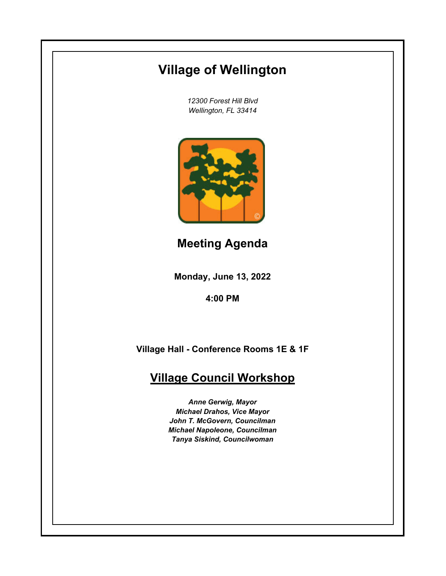# **Village of Wellington**

*12300 Forest Hill Blvd Wellington, FL 33414*



**Meeting Agenda**

**Monday, June 13, 2022**

**4:00 PM**

**Village Hall - Conference Rooms 1E & 1F**

## **Village Council Workshop**

*Anne Gerwig, Mayor Michael Drahos, Vice Mayor John T. McGovern, Councilman Michael Napoleone, Councilman Tanya Siskind, Councilwoman*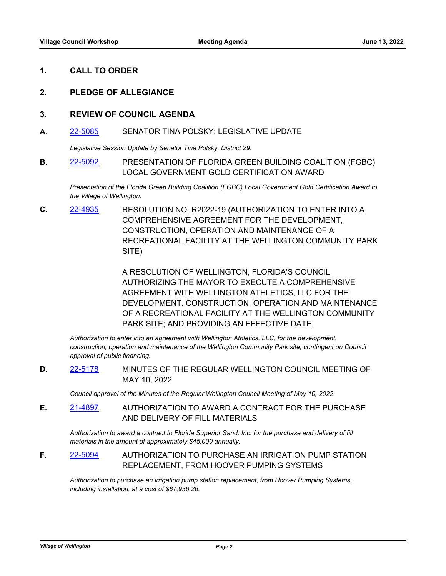#### **1. CALL TO ORDER**

#### **2. PLEDGE OF ALLEGIANCE**

#### **3. REVIEW OF COUNCIL AGENDA**

#### **A.** [22-5085](http://wellington.legistar.com/gateway.aspx?m=l&id=/matter.aspx?key=12179) SENATOR TINA POLSKY: LEGISLATIVE UPDATE

*Legislative Session Update by Senator Tina Polsky, District 29.*

**B.** [22-5092](http://wellington.legistar.com/gateway.aspx?m=l&id=/matter.aspx?key=12189) PRESENTATION OF FLORIDA GREEN BUILDING COALITION (FGBC) LOCAL GOVERNMENT GOLD CERTIFICATION AWARD

*Presentation of the Florida Green Building Coalition (FGBC) Local Government Gold Certification Award to the Village of Wellington.*

**C.** [22-4935](http://wellington.legistar.com/gateway.aspx?m=l&id=/matter.aspx?key=12018) RESOLUTION NO. R2022-19 (AUTHORIZATION TO ENTER INTO A COMPREHENSIVE AGREEMENT FOR THE DEVELOPMENT, CONSTRUCTION, OPERATION AND MAINTENANCE OF A RECREATIONAL FACILITY AT THE WELLINGTON COMMUNITY PARK SITE)

> A RESOLUTION OF WELLINGTON, FLORIDA'S COUNCIL AUTHORIZING THE MAYOR TO EXECUTE A COMPREHENSIVE AGREEMENT WITH WELLINGTON ATHLETICS, LLC FOR THE DEVELOPMENT. CONSTRUCTION, OPERATION AND MAINTENANCE OF A RECREATIONAL FACILITY AT THE WELLINGTON COMMUNITY PARK SITE; AND PROVIDING AN EFFECTIVE DATE.

*Authorization to enter into an agreement with Wellington Athletics, LLC, for the development,*  construction, operation and maintenance of the Wellington Community Park site, contingent on Council *approval of public financing.*

**D.** [22-5178](http://wellington.legistar.com/gateway.aspx?m=l&id=/matter.aspx?key=12277) MINUTES OF THE REGULAR WELLINGTON COUNCIL MEETING OF MAY 10, 2022

*Council approval of the Minutes of the Regular Wellington Council Meeting of May 10, 2022.*

**E.** [21-4897](http://wellington.legistar.com/gateway.aspx?m=l&id=/matter.aspx?key=11978) AUTHORIZATION TO AWARD A CONTRACT FOR THE PURCHASE AND DELIVERY OF FILL MATERIALS

*Authorization to award a contract to Florida Superior Sand, Inc. for the purchase and delivery of fill materials in the amount of approximately \$45,000 annually.*

**F.** [22-5094](http://wellington.legistar.com/gateway.aspx?m=l&id=/matter.aspx?key=12191) AUTHORIZATION TO PURCHASE AN IRRIGATION PUMP STATION REPLACEMENT, FROM HOOVER PUMPING SYSTEMS

*Authorization to purchase an irrigation pump station replacement, from Hoover Pumping Systems, including installation, at a cost of \$67,936.26.*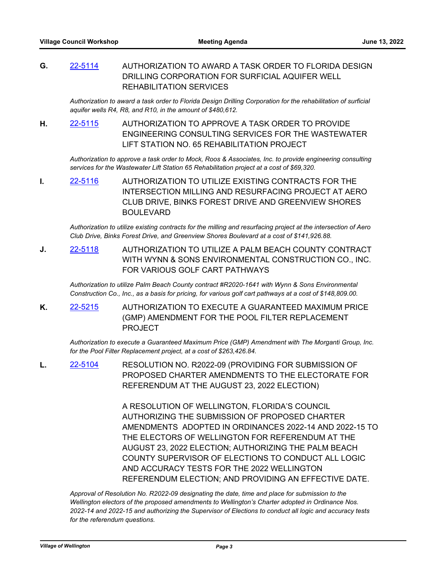**G.** [22-5114](http://wellington.legistar.com/gateway.aspx?m=l&id=/matter.aspx?key=12213) AUTHORIZATION TO AWARD A TASK ORDER TO FLORIDA DESIGN DRILLING CORPORATION FOR SURFICIAL AQUIFER WELL REHABILITATION SERVICES

*Authorization to award a task order to Florida Design Drilling Corporation for the rehabilitation of surficial aquifer wells R4, R8, and R10, in the amount of \$480,612.*

**H.** [22-5115](http://wellington.legistar.com/gateway.aspx?m=l&id=/matter.aspx?key=12214) AUTHORIZATION TO APPROVE A TASK ORDER TO PROVIDE ENGINEERING CONSULTING SERVICES FOR THE WASTEWATER LIFT STATION NO. 65 REHABILITATION PROJECT

*Authorization to approve a task order to Mock, Roos & Associates, Inc. to provide engineering consulting services for the Wastewater Lift Station 65 Rehabilitation project at a cost of \$69,320.*

**I.** [22-5116](http://wellington.legistar.com/gateway.aspx?m=l&id=/matter.aspx?key=12215) AUTHORIZATION TO UTILIZE EXISTING CONTRACTS FOR THE INTERSECTION MILLING AND RESURFACING PROJECT AT AERO CLUB DRIVE, BINKS FOREST DRIVE AND GREENVIEW SHORES BOULEVARD

*Authorization to utilize existing contracts for the milling and resurfacing project at the intersection of Aero Club Drive, Binks Forest Drive, and Greenview Shores Boulevard at a cost of \$141,926.88.*

**J.** [22-5118](http://wellington.legistar.com/gateway.aspx?m=l&id=/matter.aspx?key=12217) AUTHORIZATION TO UTILIZE A PALM BEACH COUNTY CONTRACT WITH WYNN & SONS ENVIRONMENTAL CONSTRUCTION CO., INC. FOR VARIOUS GOLF CART PATHWAYS

*Authorization to utilize Palm Beach County contract #R2020-1641 with Wynn & Sons Environmental Construction Co., Inc., as a basis for pricing, for various golf cart pathways at a cost of \$148,809.00.*

**K.** [22-5215](http://wellington.legistar.com/gateway.aspx?m=l&id=/matter.aspx?key=12318) AUTHORIZATION TO EXECUTE A GUARANTEED MAXIMUM PRICE (GMP) AMENDMENT FOR THE POOL FILTER REPLACEMENT PROJECT

*Authorization to execute a Guaranteed Maximum Price (GMP) Amendment with The Morganti Group, Inc. for the Pool Filter Replacement project, at a cost of \$263,426.84.*

**L.** [22-5104](http://wellington.legistar.com/gateway.aspx?m=l&id=/matter.aspx?key=12202) RESOLUTION NO. R2022-09 (PROVIDING FOR SUBMISSION OF PROPOSED CHARTER AMENDMENTS TO THE ELECTORATE FOR REFERENDUM AT THE AUGUST 23, 2022 ELECTION)

> A RESOLUTION OF WELLINGTON, FLORIDA'S COUNCIL AUTHORIZING THE SUBMISSION OF PROPOSED CHARTER AMENDMENTS ADOPTED IN ORDINANCES 2022-14 AND 2022-15 TO THE ELECTORS OF WELLINGTON FOR REFERENDUM AT THE AUGUST 23, 2022 ELECTION; AUTHORIZING THE PALM BEACH COUNTY SUPERVISOR OF ELECTIONS TO CONDUCT ALL LOGIC AND ACCURACY TESTS FOR THE 2022 WELLINGTON REFERENDUM ELECTION; AND PROVIDING AN EFFECTIVE DATE.

*Approval of Resolution No. R2022-09 designating the date, time and place for submission to the Wellington electors of the proposed amendments to Wellington's Charter adopted in Ordinance Nos. 2022-14 and 2022-15 and authorizing the Supervisor of Elections to conduct all logic and accuracy tests for the referendum questions.*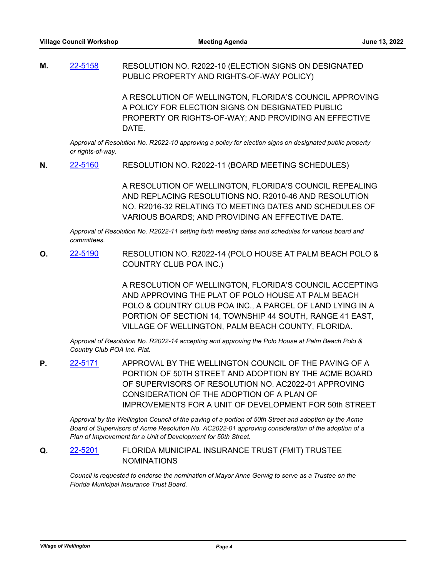**M.** [22-5158](http://wellington.legistar.com/gateway.aspx?m=l&id=/matter.aspx?key=12257) RESOLUTION NO. R2022-10 (ELECTION SIGNS ON DESIGNATED PUBLIC PROPERTY AND RIGHTS-OF-WAY POLICY)

> A RESOLUTION OF WELLINGTON, FLORIDA'S COUNCIL APPROVING A POLICY FOR ELECTION SIGNS ON DESIGNATED PUBLIC PROPERTY OR RIGHTS-OF-WAY; AND PROVIDING AN EFFECTIVE DATE.

*Approval of Resolution No. R2022-10 approving a policy for election signs on designated public property or rights-of-way.*

**N.** [22-5160](http://wellington.legistar.com/gateway.aspx?m=l&id=/matter.aspx?key=12259) RESOLUTION NO. R2022-11 (BOARD MEETING SCHEDULES)

A RESOLUTION OF WELLINGTON, FLORIDA'S COUNCIL REPEALING AND REPLACING RESOLUTIONS NO. R2010-46 AND RESOLUTION NO. R2016-32 RELATING TO MEETING DATES AND SCHEDULES OF VARIOUS BOARDS; AND PROVIDING AN EFFECTIVE DATE.

*Approval of Resolution No. R2022-11 setting forth meeting dates and schedules for various board and committees.*

**O.** [22-5190](http://wellington.legistar.com/gateway.aspx?m=l&id=/matter.aspx?key=12292) RESOLUTION NO. R2022-14 (POLO HOUSE AT PALM BEACH POLO & COUNTRY CLUB POA INC.)

> A RESOLUTION OF WELLINGTON, FLORIDA'S COUNCIL ACCEPTING AND APPROVING THE PLAT OF POLO HOUSE AT PALM BEACH POLO & COUNTRY CLUB POA INC., A PARCEL OF LAND LYING IN A PORTION OF SECTION 14, TOWNSHIP 44 SOUTH, RANGE 41 EAST, VILLAGE OF WELLINGTON, PALM BEACH COUNTY, FLORIDA.

*Approval of Resolution No. R2022-14 accepting and approving the Polo House at Palm Beach Polo & Country Club POA Inc. Plat.*

**P.** [22-5171](http://wellington.legistar.com/gateway.aspx?m=l&id=/matter.aspx?key=12270) APPROVAL BY THE WELLINGTON COUNCIL OF THE PAVING OF A PORTION OF 50TH STREET AND ADOPTION BY THE ACME BOARD OF SUPERVISORS OF RESOLUTION NO. AC2022-01 APPROVING CONSIDERATION OF THE ADOPTION OF A PLAN OF IMPROVEMENTS FOR A UNIT OF DEVELOPMENT FOR 50th STREET

*Approval by the Wellington Council of the paving of a portion of 50th Street and adoption by the Acme Board of Supervisors of Acme Resolution No. AC2022-01 approving consideration of the adoption of a Plan of Improvement for a Unit of Development for 50th Street.*

**Q.** [22-5201](http://wellington.legistar.com/gateway.aspx?m=l&id=/matter.aspx?key=12306) FLORIDA MUNICIPAL INSURANCE TRUST (FMIT) TRUSTEE NOMINATIONS

*Council is requested to endorse the nomination of Mayor Anne Gerwig to serve as a Trustee on the Florida Municipal Insurance Trust Board.*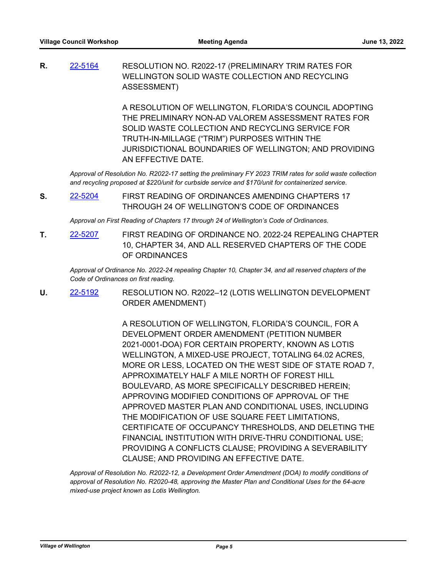**R.** [22-5164](http://wellington.legistar.com/gateway.aspx?m=l&id=/matter.aspx?key=12263) RESOLUTION NO. R2022-17 (PRELIMINARY TRIM RATES FOR WELLINGTON SOLID WASTE COLLECTION AND RECYCLING ASSESSMENT)

> A RESOLUTION OF WELLINGTON, FLORIDA'S COUNCIL ADOPTING THE PRELIMINARY NON-AD VALOREM ASSESSMENT RATES FOR SOLID WASTE COLLECTION AND RECYCLING SERVICE FOR TRUTH-IN-MILLAGE ("TRIM") PURPOSES WITHIN THE JURISDICTIONAL BOUNDARIES OF WELLINGTON; AND PROVIDING AN EFFECTIVE DATE.

*Approval of Resolution No. R2022-17 setting the preliminary FY 2023 TRIM rates for solid waste collection and recycling proposed at \$220/unit for curbside service and \$170/unit for containerized service.*

**S.** [22-5204](http://wellington.legistar.com/gateway.aspx?m=l&id=/matter.aspx?key=12310) FIRST READING OF ORDINANCES AMENDING CHAPTERS 17 THROUGH 24 OF WELLINGTON'S CODE OF ORDINANCES

*Approval on First Reading of Chapters 17 through 24 of Wellington's Code of Ordinances.*

**T.** [22-5207](http://wellington.legistar.com/gateway.aspx?m=l&id=/matter.aspx?key=12314) FIRST READING OF ORDINANCE NO. 2022-24 REPEALING CHAPTER 10, CHAPTER 34, AND ALL RESERVED CHAPTERS OF THE CODE OF ORDINANCES

*Approval of Ordinance No. 2022-24 repealing Chapter 10, Chapter 34, and all reserved chapters of the Code of Ordinances on first reading.*

**U.** [22-5192](http://wellington.legistar.com/gateway.aspx?m=l&id=/matter.aspx?key=12294) RESOLUTION NO. R2022–12 (LOTIS WELLINGTON DEVELOPMENT ORDER AMENDMENT)

> A RESOLUTION OF WELLINGTON, FLORIDA'S COUNCIL, FOR A DEVELOPMENT ORDER AMENDMENT (PETITION NUMBER 2021-0001-DOA) FOR CERTAIN PROPERTY, KNOWN AS LOTIS WELLINGTON, A MIXED-USE PROJECT, TOTALING 64.02 ACRES, MORE OR LESS, LOCATED ON THE WEST SIDE OF STATE ROAD 7, APPROXIMATELY HALF A MILE NORTH OF FOREST HILL BOULEVARD, AS MORE SPECIFICALLY DESCRIBED HEREIN; APPROVING MODIFIED CONDITIONS OF APPROVAL OF THE APPROVED MASTER PLAN AND CONDITIONAL USES, INCLUDING THE MODIFICATION OF USE SQUARE FEET LIMITATIONS, CERTIFICATE OF OCCUPANCY THRESHOLDS, AND DELETING THE FINANCIAL INSTITUTION WITH DRIVE-THRU CONDITIONAL USE; PROVIDING A CONFLICTS CLAUSE; PROVIDING A SEVERABILITY CLAUSE; AND PROVIDING AN EFFECTIVE DATE.

*Approval of Resolution No. R2022-12, a Development Order Amendment (DOA) to modify conditions of approval of Resolution No. R2020-48, approving the Master Plan and Conditional Uses for the 64-acre mixed-use project known as Lotis Wellington.*